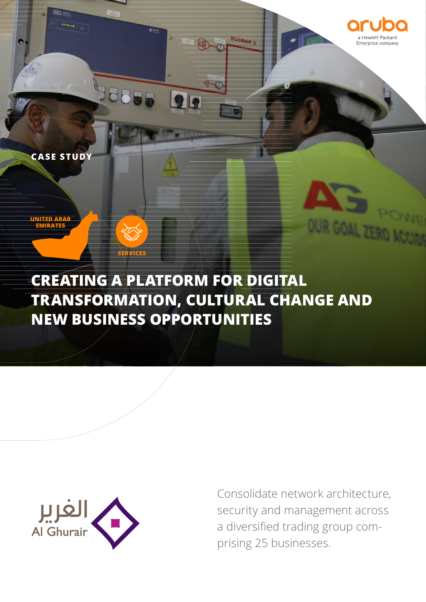



# **CREATING A PLATFORM FOR DIGITAL TRANSFORMATION, CULTURAL CHANGE AND NEW BUSINESS OPPORTUNITIES**

 $\mathbf{\mathbf{h}}$  la

**SERVICES**

**Saas** 



**CASE STUDY**

**UNITED ARAB EMIRATES**

> Consolidate network architecture, security and management across a diversified trading group comprising 25 businesses.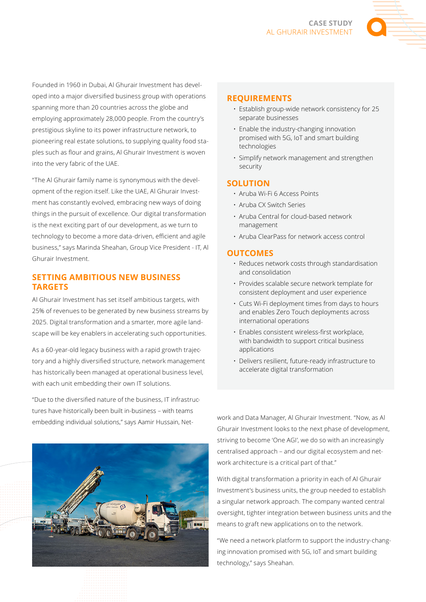

Founded in 1960 in Dubai, Al Ghurair Investment has developed into a major diversified business group with operations spanning more than 20 countries across the globe and employing approximately 28,000 people. From the country's prestigious skyline to its power infrastructure network, to pioneering real estate solutions, to supplying quality food staples such as flour and grains, Al Ghurair Investment is woven into the very fabric of the UAE.

"The Al Ghurair family name is synonymous with the development of the region itself. Like the UAE, Al Ghurair Investment has constantly evolved, embracing new ways of doing things in the pursuit of excellence. Our digital transformation is the next exciting part of our development, as we turn to technology to become a more data-driven, efficient and agile business," says Marinda Sheahan, Group Vice President - IT, Al Ghurair Investment.

# **SETTING AMBITIOUS NEW BUSINESS TARGETS**

Al Ghurair Investment has set itself ambitious targets, with 25% of revenues to be generated by new business streams by 2025. Digital transformation and a smarter, more agile landscape will be key enablers in accelerating such opportunities.

As a 60-year-old legacy business with a rapid growth trajectory and a highly diversified structure, network management has historically been managed at operational business level, with each unit embedding their own IT solutions.

"Due to the diversified nature of the business, IT infrastructures have historically been built in-business – with teams embedding individual solutions," says Aamir Hussain, Net-



#### **REQUIREMENTS**

- Establish group-wide network consistency for 25 separate businesses
- Enable the industry-changing innovation promised with 5G, IoT and smart building technologies
- Simplify network management and strengthen security

#### **SOLUTION**

- Aruba Wi-Fi 6 Access Points
- Aruba CX Switch Series
- Aruba Central for cloud-based network management
- Aruba ClearPass for network access control

#### **OUTCOMES**

- Reduces network costs through standardisation and consolidation
- Provides scalable secure network template for consistent deployment and user experience
- Cuts Wi-Fi deployment times from days to hours and enables Zero Touch deployments across international operations
- Enables consistent wireless-first workplace, with bandwidth to support critical business applications
- Delivers resilient, future-ready infrastructure to accelerate digital transformation

work and Data Manager, Al Ghurair Investment. "Now, as Al Ghurair Investment looks to the next phase of development, striving to become 'One AGI', we do so with an increasingly centralised approach – and our digital ecosystem and network architecture is a critical part of that."

With digital transformation a priority in each of Al Ghurair Investment's business units, the group needed to establish a singular network approach. The company wanted central oversight, tighter integration between business units and the means to graft new applications on to the network.

"We need a network platform to support the industry-changing innovation promised with 5G, IoT and smart building technology," says Sheahan.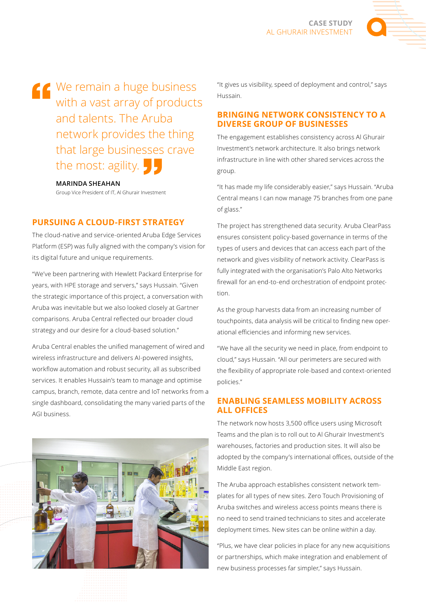

K<sup>We remain a huge business</sup> with a vast array of products and talents. The Aruba network provides the thing that large businesses crave the most: agility.

### **MARINDA SHEAHAN**

Group Vice President of IT, Al Ghurair Investment

# **PURSUING A CLOUD-FIRST STRATEGY**

The cloud-native and service-oriented Aruba Edge Services Platform (ESP) was fully aligned with the company's vision for its digital future and unique requirements.

"We've been partnering with Hewlett Packard Enterprise for years, with HPE storage and servers," says Hussain. "Given the strategic importance of this project, a conversation with Aruba was inevitable but we also looked closely at Gartner comparisons. Aruba Central reflected our broader cloud strategy and our desire for a cloud-based solution."

Aruba Central enables the unified management of wired and wireless infrastructure and delivers AI-powered insights, workflow automation and robust security, all as subscribed services. It enables Hussain's team to manage and optimise campus, branch, remote, data centre and IoT networks from a single dashboard, consolidating the many varied parts of the AGI business.



"It gives us visibility, speed of deployment and control," says Hussain.

## **BRINGING NETWORK CONSISTENCY TO A DIVERSE GROUP OF BUSINESSES**

The engagement establishes consistency across Al Ghurair Investment's network architecture. It also brings network infrastructure in line with other shared services across the group.

"It has made my life considerably easier," says Hussain. "Aruba Central means I can now manage 75 branches from one pane of glass."

The project has strengthened data security. Aruba ClearPass ensures consistent policy-based governance in terms of the types of users and devices that can access each part of the network and gives visibility of network activity. ClearPass is fully integrated with the organisation's Palo Alto Networks firewall for an end-to-end orchestration of endpoint protection.

As the group harvests data from an increasing number of touchpoints, data analysis will be critical to finding new operational efficiencies and informing new services.

"We have all the security we need in place, from endpoint to cloud," says Hussain. "All our perimeters are secured with the flexibility of appropriate role-based and context-oriented policies."

# **ENABLING SEAMLESS MOBILITY ACROSS ALL OFFICES**

The network now hosts 3,500 office users using Microsoft Teams and the plan is to roll out to Al Ghurair Investment's warehouses, factories and production sites. It will also be adopted by the company's international offices, outside of the Middle East region.

The Aruba approach establishes consistent network templates for all types of new sites. Zero Touch Provisioning of Aruba switches and wireless access points means there is no need to send trained technicians to sites and accelerate deployment times. New sites can be online within a day.

"Plus, we have clear policies in place for any new acquisitions or partnerships, which make integration and enablement of new business processes far simpler," says Hussain.